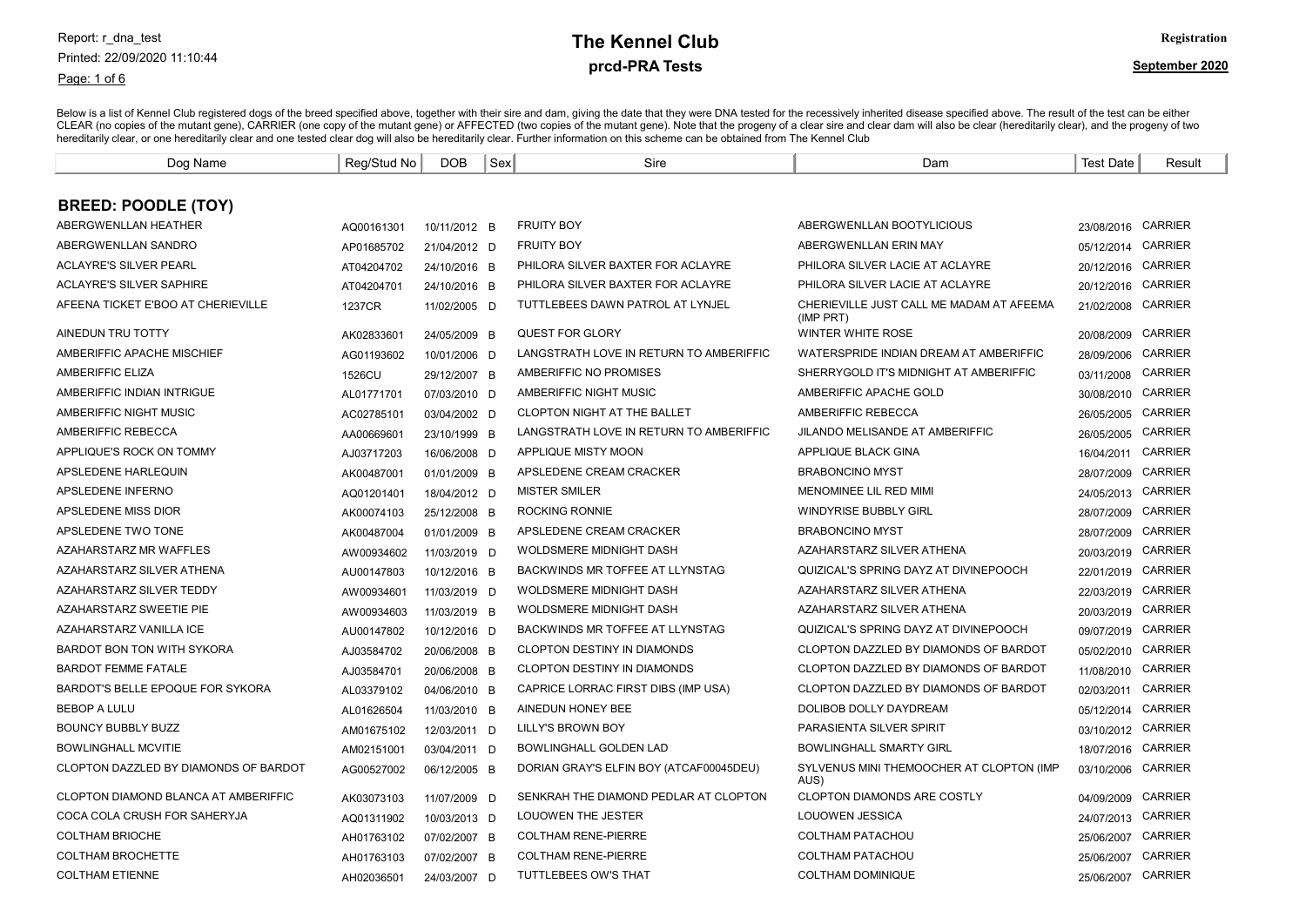#### Report: r\_dna\_test Printed: 22/09/2020 11:10:44

#### Page: 1 of 6

#### prcd-PRA Tests **The Kennel Club** Registration

| Dog Name                                    | Reg/Stud No | DOB          | Sex | Sire                                    | Dam                                                   | <b>Test Date</b>   | Result         |
|---------------------------------------------|-------------|--------------|-----|-----------------------------------------|-------------------------------------------------------|--------------------|----------------|
|                                             |             |              |     |                                         |                                                       |                    |                |
| <b>BREED: POODLE (TOY)</b>                  |             |              |     |                                         |                                                       |                    |                |
| ABERGWENLLAN HEATHER                        | AQ00161301  | 10/11/2012 B |     | <b>FRUITY BOY</b>                       | ABERGWENLLAN BOOTYLICIOUS                             | 23/08/2016 CARRIER |                |
| ABERGWENLLAN SANDRO                         | AP01685702  | 21/04/2012 D |     | <b>FRUITY BOY</b>                       | ABERGWENLLAN ERIN MAY                                 | 05/12/2014         | <b>CARRIER</b> |
| <b>ACLAYRE'S SILVER PEARL</b>               | AT04204702  | 24/10/2016 B |     | PHILORA SILVER BAXTER FOR ACLAYRE       | PHILORA SILVER LACIE AT ACLAYRE                       | 20/12/2016 CARRIER |                |
| <b>ACLAYRE'S SILVER SAPHIRE</b>             | AT04204701  | 24/10/2016 B |     | PHILORA SILVER BAXTER FOR ACLAYRE       | PHILORA SILVER LACIE AT ACLAYRE                       | 20/12/2016         | <b>CARRIER</b> |
| AFEENA TICKET E'BOO AT CHERIEVILLE          | 1237CR      | 11/02/2005 D |     | TUTTLEBEES DAWN PATROL AT LYNJEL        | CHERIEVILLE JUST CALL ME MADAM AT AFEEMA<br>(IMP PRT) | 21/02/2008 CARRIER |                |
| AINEDUN TRU TOTTY                           | AK02833601  | 24/05/2009 B |     | <b>QUEST FOR GLORY</b>                  | <b>WINTER WHITE ROSE</b>                              | 20/08/2009         | <b>CARRIER</b> |
| AMBERIFFIC APACHE MISCHIEF                  | AG01193602  | 10/01/2006 D |     | LANGSTRATH LOVE IN RETURN TO AMBERIFFIC | WATERSPRIDE INDIAN DREAM AT AMBERIFFIC                | 28/09/2006         | CARRIER        |
| <b>AMBERIFFIC ELIZA</b>                     | 1526CU      | 29/12/2007 B |     | AMBERIFFIC NO PROMISES                  | SHERRYGOLD IT'S MIDNIGHT AT AMBERIFFIC                | 03/11/2008         | <b>CARRIER</b> |
| AMBERIFFIC INDIAN INTRIGUE                  | AL01771701  | 07/03/2010 D |     | AMBERIFFIC NIGHT MUSIC                  | AMBERIFFIC APACHE GOLD                                | 30/08/2010         | <b>CARRIER</b> |
| AMBERIFFIC NIGHT MUSIC                      | AC02785101  | 03/04/2002 D |     | CLOPTON NIGHT AT THE BALLET             | AMBERIFFIC REBECCA                                    | 26/05/2005         | <b>CARRIER</b> |
| AMBERIFFIC REBECCA                          | AA00669601  | 23/10/1999 B |     | LANGSTRATH LOVE IN RETURN TO AMBERIFFIC | <b>JILANDO MELISANDE AT AMBERIFFIC</b>                | 26/05/2005         | CARRIER        |
| APPLIQUE'S ROCK ON TOMMY                    | AJ03717203  | 16/06/2008 D |     | APPLIQUE MISTY MOON                     | <b>APPLIQUE BLACK GINA</b>                            | 16/04/2011         | CARRIER        |
| APSLEDENE HARLEQUIN                         | AK00487001  | 01/01/2009 B |     | APSLEDENE CREAM CRACKER                 | <b>BRABONCINO MYST</b>                                | 28/07/2009         | <b>CARRIER</b> |
| APSLEDENE INFERNO                           | AQ01201401  | 18/04/2012 D |     | <b>MISTER SMILER</b>                    | <b>MENOMINEE LIL RED MIMI</b>                         | 24/05/2013 CARRIER |                |
| APSLEDENE MISS DIOR                         | AK00074103  | 25/12/2008 B |     | <b>ROCKING RONNIE</b>                   | <b>WINDYRISE BUBBLY GIRL</b>                          | 28/07/2009         | <b>CARRIER</b> |
| APSLEDENE TWO TONE                          | AK00487004  | 01/01/2009 B |     | APSLEDENE CREAM CRACKER                 | <b>BRABONCINO MYST</b>                                | 28/07/2009         | <b>CARRIER</b> |
| AZAHARSTARZ MR WAFFLES                      | AW00934602  | 11/03/2019 D |     | WOLDSMERE MIDNIGHT DASH                 | AZAHARSTARZ SILVER ATHENA                             | 20/03/2019         | <b>CARRIER</b> |
| <b>AZAHARSTARZ SILVER ATHENA</b>            | AU00147803  | 10/12/2016 B |     | BACKWINDS MR TOFFEE AT LLYNSTAG         | QUIZICAL'S SPRING DAYZ AT DIVINEPOOCH                 | 22/01/2019         | <b>CARRIER</b> |
| <b>AZAHARSTARZ SILVER TEDDY</b>             | AW00934601  | 11/03/2019 D |     | <b>WOLDSMERE MIDNIGHT DASH</b>          | AZAHARSTARZ SILVER ATHENA                             | 22/03/2019         | <b>CARRIER</b> |
| AZAHARSTARZ SWEETIE PIE                     | AW00934603  | 11/03/2019 B |     | WOLDSMERE MIDNIGHT DASH                 | AZAHARSTARZ SILVER ATHENA                             | 20/03/2019         | <b>CARRIER</b> |
| AZAHARSTARZ VANILLA ICE                     | AU00147802  | 10/12/2016 D |     | BACKWINDS MR TOFFEE AT LLYNSTAG         | QUIZICAL'S SPRING DAYZ AT DIVINEPOOCH                 | 09/07/2019 CARRIER |                |
| <b>BARDOT BON TON WITH SYKORA</b>           | AJ03584702  | 20/06/2008 B |     | <b>CLOPTON DESTINY IN DIAMONDS</b>      | CLOPTON DAZZLED BY DIAMONDS OF BARDOT                 | 05/02/2010         | <b>CARRIER</b> |
| <b>BARDOT FEMME FATALE</b>                  | AJ03584701  | 20/06/2008 B |     | CLOPTON DESTINY IN DIAMONDS             | CLOPTON DAZZLED BY DIAMONDS OF BARDOT                 | 11/08/2010         | <b>CARRIER</b> |
| BARDOT'S BELLE EPOQUE FOR SYKORA            | AL03379102  | 04/06/2010 B |     | CAPRICE LORRAC FIRST DIBS (IMP USA)     | CLOPTON DAZZLED BY DIAMONDS OF BARDOT                 | 02/03/2011         | <b>CARRIER</b> |
| <b>BEBOP A LULU</b>                         | AL01626504  | 11/03/2010 B |     | AINEDUN HONEY BEE                       | <b>DOLIBOB DOLLY DAYDREAM</b>                         | 05/12/2014         | <b>CARRIER</b> |
| <b>BOUNCY BUBBLY BUZZ</b>                   | AM01675102  | 12/03/2011 D |     | LILLY'S BROWN BOY                       | PARASIENTA SILVER SPIRIT                              | 03/10/2012         | <b>CARRIER</b> |
| <b>BOWLINGHALL MCVITIE</b>                  | AM02151001  | 03/04/2011 D |     | <b>BOWLINGHALL GOLDEN LAD</b>           | <b>BOWLINGHALL SMARTY GIRL</b>                        | 18/07/2016         | <b>CARRIER</b> |
| CLOPTON DAZZLED BY DIAMONDS OF BARDOT       | AG00527002  | 06/12/2005 B |     | DORIAN GRAY'S ELFIN BOY (ATCAF00045DEU) | SYLVENUS MINI THEMOOCHER AT CLOPTON (IMP<br>AUS)      | 03/10/2006         | <b>CARRIER</b> |
| <b>CLOPTON DIAMOND BLANCA AT AMBERIFFIC</b> | AK03073103  | 11/07/2009 D |     | SENKRAH THE DIAMOND PEDLAR AT CLOPTON   | <b>CLOPTON DIAMONDS ARE COSTLY</b>                    | 04/09/2009         | <b>CARRIER</b> |
| COCA COLA CRUSH FOR SAHERYJA                | AQ01311902  | 10/03/2013 D |     | <b>LOUOWEN THE JESTER</b>               | LOUOWEN JESSICA                                       | 24/07/2013         | <b>CARRIER</b> |
| <b>COLTHAM BRIOCHE</b>                      | AH01763102  | 07/02/2007 B |     | <b>COLTHAM RENE-PIERRE</b>              | <b>COLTHAM PATACHOU</b>                               | 25/06/2007         | <b>CARRIER</b> |
| <b>COLTHAM BROCHETTE</b>                    | AH01763103  | 07/02/2007 B |     | <b>COLTHAM RENE-PIERRE</b>              | <b>COLTHAM PATACHOU</b>                               | 25/06/2007         | <b>CARRIER</b> |
| <b>COLTHAM ETIENNE</b>                      | AH02036501  | 24/03/2007 D |     | <b>TUTTLEBEES OW'S THAT</b>             | <b>COLTHAM DOMINIQUE</b>                              | 25/06/2007 CARRIER |                |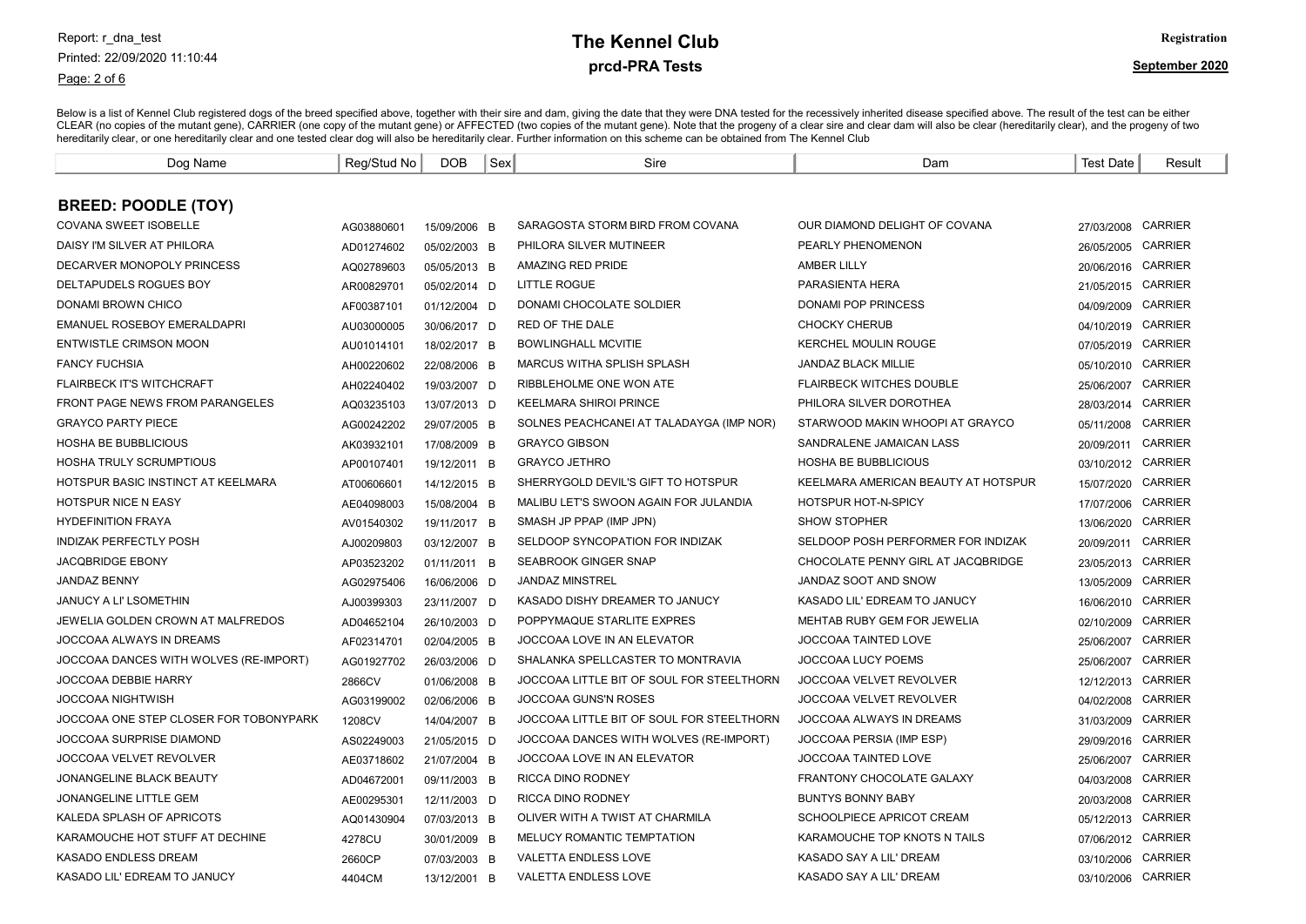Page: 2 of 6

# prcd-PRA Tests **The Kennel Club** Registration

| Dog Name                               | Reg/Stud No | DOB          | Sex | Sire                                      | Dam                                 | <b>Test Date</b>   | Result         |
|----------------------------------------|-------------|--------------|-----|-------------------------------------------|-------------------------------------|--------------------|----------------|
|                                        |             |              |     |                                           |                                     |                    |                |
| <b>BREED: POODLE (TOY)</b>             |             |              |     |                                           |                                     |                    |                |
| <b>COVANA SWEET ISOBELLE</b>           | AG03880601  | 15/09/2006 B |     | SARAGOSTA STORM BIRD FROM COVANA          | OUR DIAMOND DELIGHT OF COVANA       | 27/03/2008 CARRIER |                |
| DAISY I'M SILVER AT PHILORA            | AD01274602  | 05/02/2003 B |     | PHILORA SILVER MUTINEER                   | PEARLY PHENOMENON                   | 26/05/2005         | <b>CARRIER</b> |
| DECARVER MONOPOLY PRINCESS             | AQ02789603  | 05/05/2013 B |     | AMAZING RED PRIDE                         | <b>AMBER LILLY</b>                  | 20/06/2016 CARRIER |                |
| DELTAPUDELS ROGUES BOY                 | AR00829701  | 05/02/2014 D |     | <b>LITTLE ROGUE</b>                       | PARASIENTA HERA                     | 21/05/2015 CARRIER |                |
| DONAMI BROWN CHICO                     | AF00387101  | 01/12/2004 D |     | DONAMI CHOCOLATE SOLDIER                  | <b>DONAMI POP PRINCESS</b>          | 04/09/2009 CARRIER |                |
| <b>EMANUEL ROSEBOY EMERALDAPRI</b>     | AU03000005  | 30/06/2017 D |     | <b>RED OF THE DALE</b>                    | <b>CHOCKY CHERUB</b>                | 04/10/2019 CARRIER |                |
| <b>ENTWISTLE CRIMSON MOON</b>          | AU01014101  | 18/02/2017 B |     | <b>BOWLINGHALL MCVITIE</b>                | KERCHEL MOULIN ROUGE                | 07/05/2019 CARRIER |                |
| <b>FANCY FUCHSIA</b>                   | AH00220602  | 22/08/2006 B |     | <b>MARCUS WITHA SPLISH SPLASH</b>         | <b>JANDAZ BLACK MILLIE</b>          | 05/10/2010         | <b>CARRIER</b> |
| <b>FLAIRBECK IT'S WITCHCRAFT</b>       | AH02240402  | 19/03/2007 D |     | RIBBLEHOLME ONE WON ATE                   | <b>FLAIRBECK WITCHES DOUBLE</b>     | 25/06/2007         | <b>CARRIER</b> |
| FRONT PAGE NEWS FROM PARANGELES        | AQ03235103  | 13/07/2013 D |     | <b>KEELMARA SHIROI PRINCE</b>             | PHILORA SILVER DOROTHEA             | 28/03/2014         | <b>CARRIER</b> |
| <b>GRAYCO PARTY PIECE</b>              | AG00242202  | 29/07/2005 B |     | SOLNES PEACHCANEL AT TALADAYGA (IMP NOR)  | STARWOOD MAKIN WHOOPI AT GRAYCO     | 05/11/2008         | <b>CARRIER</b> |
| <b>HOSHA BE BUBBLICIOUS</b>            | AK03932101  | 17/08/2009 B |     | <b>GRAYCO GIBSON</b>                      | SANDRALENE JAMAICAN LASS            | 20/09/2011         | <b>CARRIER</b> |
| <b>HOSHA TRULY SCRUMPTIOUS</b>         | AP00107401  | 19/12/2011 B |     | <b>GRAYCO JETHRO</b>                      | <b>HOSHA BE BUBBLICIOUS</b>         | 03/10/2012         | <b>CARRIER</b> |
| HOTSPUR BASIC INSTINCT AT KEELMARA     | AT00606601  | 14/12/2015 B |     | SHERRYGOLD DEVIL'S GIFT TO HOTSPUR        | KEELMARA AMERICAN BEAUTY AT HOTSPUR | 15/07/2020         | <b>CARRIER</b> |
| <b>HOTSPUR NICE N EASY</b>             | AE04098003  | 15/08/2004 B |     | MALIBU LET'S SWOON AGAIN FOR JULANDIA     | <b>HOTSPUR HOT-N-SPICY</b>          | 17/07/2006         | <b>CARRIER</b> |
| <b>HYDEFINITION FRAYA</b>              | AV01540302  | 19/11/2017 B |     | SMASH JP PPAP (IMP JPN)                   | <b>SHOW STOPHER</b>                 | 13/06/2020         | <b>CARRIER</b> |
| <b>INDIZAK PERFECTLY POSH</b>          | AJ00209803  | 03/12/2007 B |     | SELDOOP SYNCOPATION FOR INDIZAK           | SELDOOP POSH PERFORMER FOR INDIZAK  | 20/09/2011         | <b>CARRIER</b> |
| <b>JACQBRIDGE EBONY</b>                | AP03523202  | 01/11/2011 B |     | <b>SEABROOK GINGER SNAP</b>               | CHOCOLATE PENNY GIRL AT JACQBRIDGE  | 23/05/2013 CARRIER |                |
| <b>JANDAZ BENNY</b>                    | AG02975406  | 16/06/2006 D |     | <b>JANDAZ MINSTREL</b>                    | JANDAZ SOOT AND SNOW                | 13/05/2009         | <b>CARRIER</b> |
| <b>JANUCY A LI' LSOMETHIN</b>          | AJ00399303  | 23/11/2007 D |     | KASADO DISHY DREAMER TO JANUCY            | KASADO LIL' EDREAM TO JANUCY        | 16/06/2010         | <b>CARRIER</b> |
| JEWELIA GOLDEN CROWN AT MALFREDOS      | AD04652104  | 26/10/2003 D |     | POPPYMAQUE STARLITE EXPRES                | MEHTAB RUBY GEM FOR JEWELIA         | 02/10/2009         | <b>CARRIER</b> |
| JOCCOAA ALWAYS IN DREAMS               | AF02314701  | 02/04/2005 B |     | JOCCOAA LOVE IN AN ELEVATOR               | JOCCOAA TAINTED LOVE                | 25/06/2007         | <b>CARRIER</b> |
| JOCCOAA DANCES WITH WOLVES (RE-IMPORT) | AG01927702  | 26/03/2006 D |     | SHALANKA SPELLCASTER TO MONTRAVIA         | JOCCOAA LUCY POEMS                  | 25/06/2007         | <b>CARRIER</b> |
| JOCCOAA DEBBIE HARRY                   | 2866CV      | 01/06/2008 B |     | JOCCOAA LITTLE BIT OF SOUL FOR STEELTHORN | JOCCOAA VELVET REVOLVER             | 12/12/2013         | <b>CARRIER</b> |
| JOCCOAA NIGHTWISH                      | AG03199002  | 02/06/2006 B |     | JOCCOAA GUNS'N ROSES                      | JOCCOAA VELVET REVOLVER             | 04/02/2008         | <b>CARRIER</b> |
| JOCCOAA ONE STEP CLOSER FOR TOBONYPARK | 1208CV      | 14/04/2007 B |     | JOCCOAA LITTLE BIT OF SOUL FOR STEELTHORN | JOCCOAA ALWAYS IN DREAMS            | 31/03/2009         | <b>CARRIER</b> |
| JOCCOAA SURPRISE DIAMOND               | AS02249003  | 21/05/2015 D |     | JOCCOAA DANCES WITH WOLVES (RE-IMPORT)    | JOCCOAA PERSIA (IMP ESP)            | 29/09/2016         | <b>CARRIER</b> |
| JOCCOAA VELVET REVOLVER                | AE03718602  | 21/07/2004 B |     | JOCCOAA LOVE IN AN ELEVATOR               | JOCCOAA TAINTED LOVE                | 25/06/2007         | <b>CARRIER</b> |
| <b>JONANGELINE BLACK BEAUTY</b>        | AD04672001  | 09/11/2003 B |     | RICCA DINO RODNEY                         | FRANTONY CHOCOLATE GALAXY           | 04/03/2008         | CARRIER        |
| JONANGELINE LITTLE GEM                 | AE00295301  | 12/11/2003 D |     | RICCA DINO RODNEY                         | <b>BUNTYS BONNY BABY</b>            | 20/03/2008         | <b>CARRIER</b> |
| KALEDA SPLASH OF APRICOTS              | AQ01430904  | 07/03/2013 B |     | OLIVER WITH A TWIST AT CHARMILA           | SCHOOLPIECE APRICOT CREAM           | 05/12/2013 CARRIER |                |
| KARAMOUCHE HOT STUFF AT DECHINE        | 4278CU      | 30/01/2009 B |     | MELUCY ROMANTIC TEMPTATION                | KARAMOUCHE TOP KNOTS N TAILS        | 07/06/2012 CARRIER |                |
| KASADO ENDLESS DREAM                   | 2660CP      | 07/03/2003 B |     | VALETTA ENDLESS LOVE                      | KASADO SAY A LIL' DREAM             | 03/10/2006         | <b>CARRIER</b> |
| KASADO LIL' EDREAM TO JANUCY           | 4404CM      | 13/12/2001 B |     | <b>VALETTA ENDLESS LOVE</b>               | KASADO SAY A LIL' DREAM             | 03/10/2006 CARRIER |                |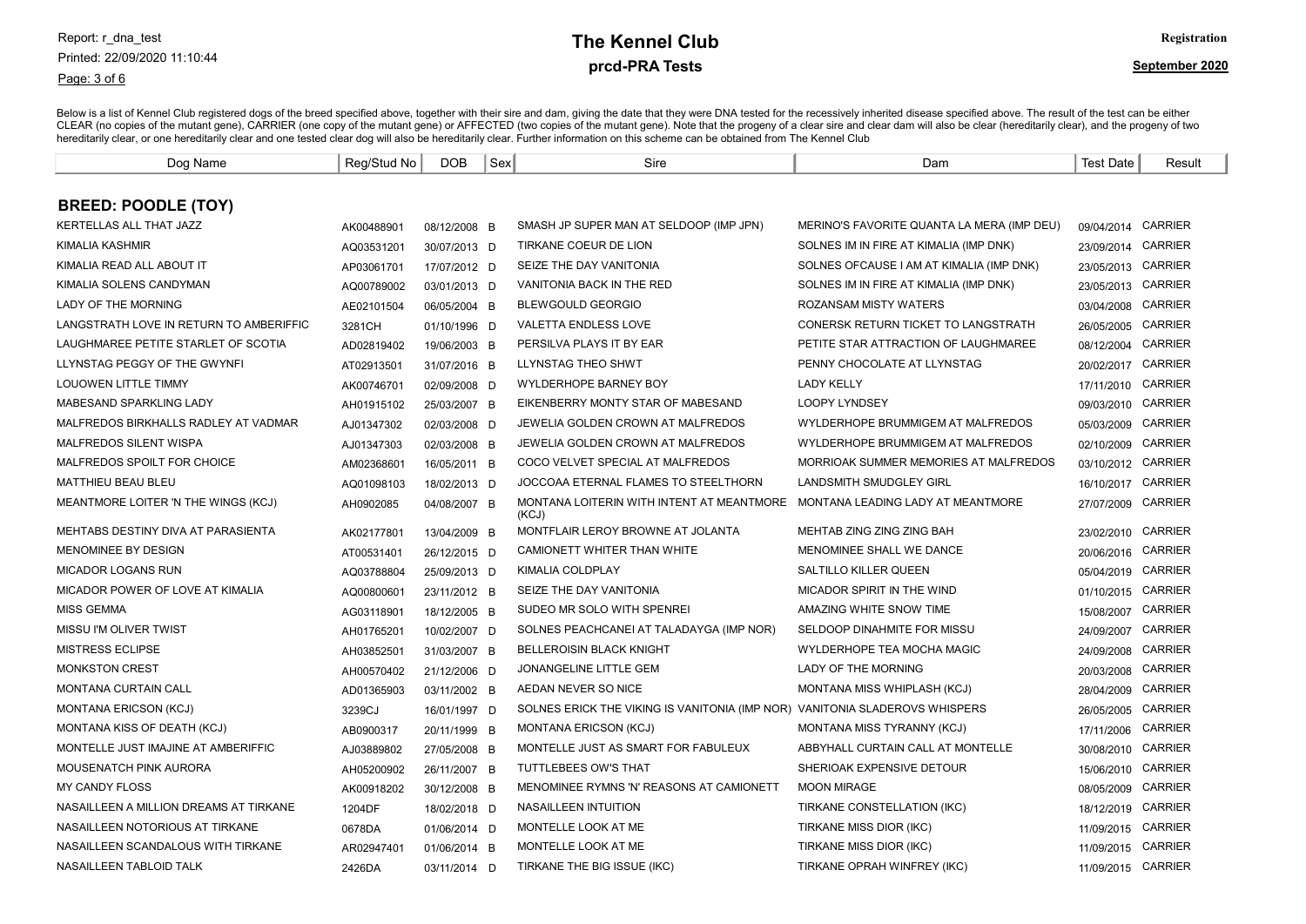Page: 3 of 6

# prcd-PRA Tests **The Kennel Club** Registration

| Dog Name                                | Reg/Stud No | <b>DOB</b>   | Sex | Sire                                                                        | Dam                                        | <b>Test Date</b>   | Result         |
|-----------------------------------------|-------------|--------------|-----|-----------------------------------------------------------------------------|--------------------------------------------|--------------------|----------------|
|                                         |             |              |     |                                                                             |                                            |                    |                |
| <b>BREED: POODLE (TOY)</b>              |             |              |     |                                                                             |                                            |                    |                |
| KERTELLAS ALL THAT JAZZ                 | AK00488901  | 08/12/2008 B |     | SMASH JP SUPER MAN AT SELDOOP (IMP JPN)                                     | MERINO'S FAVORITE QUANTA LA MERA (IMP DEU) | 09/04/2014 CARRIER |                |
| KIMALIA KASHMIR                         | AQ03531201  | 30/07/2013 D |     | TIRKANE COEUR DE LION                                                       | SOLNES IM IN FIRE AT KIMALIA (IMP DNK)     | 23/09/2014 CARRIER |                |
| KIMALIA READ ALL ABOUT IT               | AP03061701  | 17/07/2012 D |     | SEIZE THE DAY VANITONIA                                                     | SOLNES OFCAUSE I AM AT KIMALIA (IMP DNK)   | 23/05/2013 CARRIER |                |
| KIMALIA SOLENS CANDYMAN                 | AQ00789002  | 03/01/2013 D |     | VANITONIA BACK IN THE RED                                                   | SOLNES IM IN FIRE AT KIMALIA (IMP DNK)     | 23/05/2013 CARRIER |                |
| LADY OF THE MORNING                     | AE02101504  | 06/05/2004 B |     | <b>BLEWGOULD GEORGIO</b>                                                    | ROZANSAM MISTY WATERS                      | 03/04/2008 CARRIER |                |
| LANGSTRATH LOVE IN RETURN TO AMBERIFFIC | 3281CH      | 01/10/1996 D |     | <b>VALETTA ENDLESS LOVE</b>                                                 | CONERSK RETURN TICKET TO LANGSTRATH        | 26/05/2005 CARRIER |                |
| LAUGHMAREE PETITE STARLET OF SCOTIA     | AD02819402  | 19/06/2003 B |     | PERSILVA PLAYS IT BY EAR                                                    | PETITE STAR ATTRACTION OF LAUGHMAREE       | 08/12/2004 CARRIER |                |
| LLYNSTAG PEGGY OF THE GWYNFI            | AT02913501  | 31/07/2016 B |     | LLYNSTAG THEO SHWT                                                          | PENNY CHOCOLATE AT LLYNSTAG                | 20/02/2017 CARRIER |                |
| LOUOWEN LITTLE TIMMY                    | AK00746701  | 02/09/2008 D |     | WYLDERHOPE BARNEY BOY                                                       | <b>LADY KELLY</b>                          | 17/11/2010         | CARRIER        |
| MABESAND SPARKLING LADY                 | AH01915102  | 25/03/2007 B |     | EIKENBERRY MONTY STAR OF MABESAND                                           | <b>LOOPY LYNDSEY</b>                       | 09/03/2010         | <b>CARRIER</b> |
| MALFREDOS BIRKHALLS RADLEY AT VADMAR    | AJ01347302  | 02/03/2008 D |     | JEWELIA GOLDEN CROWN AT MALFREDOS                                           | WYLDERHOPE BRUMMIGEM AT MALFREDOS          | 05/03/2009         | <b>CARRIER</b> |
| MALFREDOS SILENT WISPA                  | AJ01347303  | 02/03/2008 B |     | JEWELIA GOLDEN CROWN AT MALFREDOS                                           | WYLDERHOPE BRUMMIGEM AT MALFREDOS          | 02/10/2009         | CARRIER        |
| MALFREDOS SPOILT FOR CHOICE             | AM02368601  | 16/05/2011 B |     | COCO VELVET SPECIAL AT MALFREDOS                                            | MORRIOAK SUMMER MEMORIES AT MALFREDOS      | 03/10/2012 CARRIER |                |
| <b>MATTHIEU BEAU BLEU</b>               | AQ01098103  | 18/02/2013 D |     | JOCCOAA ETERNAL FLAMES TO STEELTHORN                                        | <b>LANDSMITH SMUDGLEY GIRL</b>             | 16/10/2017 CARRIER |                |
| MEANTMORE LOITER 'N THE WINGS (KCJ)     | AH0902085   | 04/08/2007 B |     | MONTANA LOITERIN WITH INTENT AT MEANTMORE<br>(KCJ)                          | MONTANA LEADING LADY AT MEANTMORE          | 27/07/2009         | <b>CARRIER</b> |
| MEHTABS DESTINY DIVA AT PARASIENTA      | AK02177801  | 13/04/2009 B |     | MONTFLAIR LEROY BROWNE AT JOLANTA                                           | MEHTAB ZING ZING ZING BAH                  | 23/02/2010 CARRIER |                |
| MENOMINEE BY DESIGN                     | AT00531401  | 26/12/2015 D |     | CAMIONETT WHITER THAN WHITE                                                 | MENOMINEE SHALL WE DANCE                   | 20/06/2016 CARRIER |                |
| MICADOR LOGANS RUN                      | AQ03788804  | 25/09/2013 D |     | KIMALIA COLDPLAY                                                            | SALTILLO KILLER QUEEN                      | 05/04/2019 CARRIER |                |
| MICADOR POWER OF LOVE AT KIMALIA        | AQ00800601  | 23/11/2012 B |     | SEIZE THE DAY VANITONIA                                                     | MICADOR SPIRIT IN THE WIND                 | 01/10/2015 CARRIER |                |
| <b>MISS GEMMA</b>                       | AG03118901  | 18/12/2005 B |     | SUDEO MR SOLO WITH SPENREI                                                  | AMAZING WHITE SNOW TIME                    | 15/08/2007 CARRIER |                |
| MISSU I'M OLIVER TWIST                  | AH01765201  | 10/02/2007 D |     | SOLNES PEACHCANEL AT TALADAYGA (IMP NOR)                                    | SELDOOP DINAHMITE FOR MISSU                | 24/09/2007 CARRIER |                |
| <b>MISTRESS ECLIPSE</b>                 | AH03852501  | 31/03/2007 B |     | <b>BELLEROISIN BLACK KNIGHT</b>                                             | WYLDERHOPE TEA MOCHA MAGIC                 | 24/09/2008 CARRIER |                |
| <b>MONKSTON CREST</b>                   | AH00570402  | 21/12/2006 D |     | JONANGELINE LITTLE GEM                                                      | LADY OF THE MORNING                        | 20/03/2008 CARRIER |                |
| <b>MONTANA CURTAIN CALL</b>             | AD01365903  | 03/11/2002 B |     | AEDAN NEVER SO NICE                                                         | MONTANA MISS WHIPLASH (KCJ)                | 28/04/2009 CARRIER |                |
| <b>MONTANA ERICSON (KCJ)</b>            | 3239CJ      | 16/01/1997 D |     | SOLNES ERICK THE VIKING IS VANITONIA (IMP NOR) VANITONIA SLADEROVS WHISPERS |                                            | 26/05/2005 CARRIER |                |
| MONTANA KISS OF DEATH (KCJ)             | AB0900317   | 20/11/1999 B |     | <b>MONTANA ERICSON (KCJ)</b>                                                | MONTANA MISS TYRANNY (KCJ)                 | 17/11/2006         | <b>CARRIER</b> |
| MONTELLE JUST IMAJINE AT AMBERIFFIC     | AJ03889802  | 27/05/2008 B |     | MONTELLE JUST AS SMART FOR FABULEUX                                         | ABBYHALL CURTAIN CALL AT MONTELLE          | 30/08/2010 CARRIER |                |
| MOUSENATCH PINK AURORA                  | AH05200902  | 26/11/2007 B |     | TUTTLEBEES OW'S THAT                                                        | SHERIOAK EXPENSIVE DETOUR                  | 15/06/2010 CARRIER |                |
| <b>MY CANDY FLOSS</b>                   | AK00918202  | 30/12/2008 B |     | MENOMINEE RYMNS 'N' REASONS AT CAMIONETT                                    | <b>MOON MIRAGE</b>                         | 08/05/2009 CARRIER |                |
| NASAILLEEN A MILLION DREAMS AT TIRKANE  | 1204DF      | 18/02/2018 D |     | NASAILLEEN INTUITION                                                        | TIRKANE CONSTELLATION (IKC)                | 18/12/2019 CARRIER |                |
| NASAILLEEN NOTORIOUS AT TIRKANE         | 0678DA      | 01/06/2014 D |     | MONTELLE LOOK AT ME                                                         | TIRKANE MISS DIOR (IKC)                    | 11/09/2015 CARRIER |                |
| NASAILLEEN SCANDALOUS WITH TIRKANE      | AR02947401  | 01/06/2014 B |     | MONTELLE LOOK AT ME                                                         | TIRKANE MISS DIOR (IKC)                    | 11/09/2015 CARRIER |                |
| NASAILLEEN TABLOID TALK                 | 2426DA      | 03/11/2014 D |     | TIRKANE THE BIG ISSUE (IKC)                                                 | TIRKANE OPRAH WINFREY (IKC)                | 11/09/2015 CARRIER |                |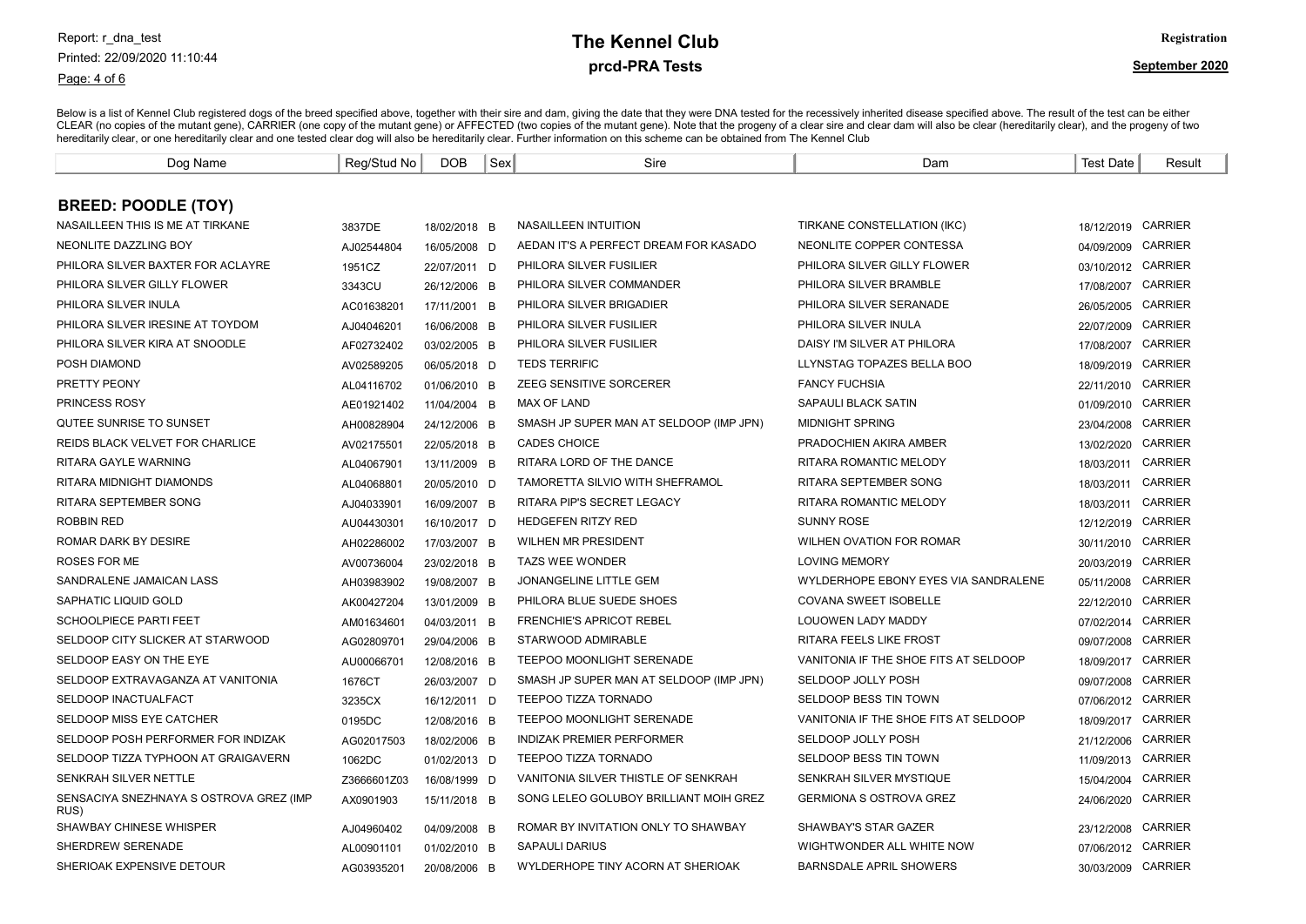Page: 4 of 6

#### prcd-PRA Tests **The Kennel Club** Registration

| Dog Name                                        | Reg/Stud No | <b>DOB</b>   | Sex | Sire                                    | Dam                                   | <b>Test Date</b>   | Result         |
|-------------------------------------------------|-------------|--------------|-----|-----------------------------------------|---------------------------------------|--------------------|----------------|
|                                                 |             |              |     |                                         |                                       |                    |                |
| <b>BREED: POODLE (TOY)</b>                      |             |              |     |                                         |                                       |                    |                |
| NASAILLEEN THIS IS ME AT TIRKANE                | 3837DE      | 18/02/2018 B |     | NASAILLEEN INTUITION                    | TIRKANE CONSTELLATION (IKC)           | 18/12/2019 CARRIER |                |
| NEONLITE DAZZLING BOY                           | AJ02544804  | 16/05/2008 D |     | AEDAN IT'S A PERFECT DREAM FOR KASADO   | NEONLITE COPPER CONTESSA              | 04/09/2009         | <b>CARRIER</b> |
| PHILORA SILVER BAXTER FOR ACLAYRE               | 1951CZ      | 22/07/2011 D |     | PHILORA SILVER FUSILIER                 | PHILORA SILVER GILLY FLOWER           | 03/10/2012 CARRIER |                |
| PHILORA SILVER GILLY FLOWER                     | 3343CU      | 26/12/2006 B |     | PHILORA SILVER COMMANDER                | PHILORA SILVER BRAMBLE                | 17/08/2007         | <b>CARRIER</b> |
| PHILORA SILVER INULA                            | AC01638201  | 17/11/2001 B |     | PHILORA SILVER BRIGADIER                | PHILORA SILVER SERANADE               | 26/05/2005         | <b>CARRIER</b> |
| PHILORA SILVER IRESINE AT TOYDOM                | AJ04046201  | 16/06/2008 B |     | PHILORA SILVER FUSILIER                 | PHILORA SILVER INULA                  | 22/07/2009         | <b>CARRIER</b> |
| PHILORA SILVER KIRA AT SNOODLE                  | AF02732402  | 03/02/2005 B |     | PHILORA SILVER FUSILIER                 | DAISY I'M SILVER AT PHILORA           | 17/08/2007         | <b>CARRIER</b> |
| POSH DIAMOND                                    | AV02589205  | 06/05/2018 D |     | <b>TEDS TERRIFIC</b>                    | LLYNSTAG TOPAZES BELLA BOO            | 18/09/2019         | <b>CARRIER</b> |
| <b>PRETTY PEONY</b>                             | AL04116702  | 01/06/2010 B |     | ZEEG SENSITIVE SORCERER                 | <b>FANCY FUCHSIA</b>                  | 22/11/2010         | <b>CARRIER</b> |
| PRINCESS ROSY                                   | AE01921402  | 11/04/2004 B |     | MAX OF LAND                             | SAPAULI BLACK SATIN                   | 01/09/2010         | <b>CARRIER</b> |
| QUTEE SUNRISE TO SUNSET                         | AH00828904  | 24/12/2006 B |     | SMASH JP SUPER MAN AT SELDOOP (IMP JPN) | <b>MIDNIGHT SPRING</b>                | 23/04/2008         | <b>CARRIER</b> |
| <b>REIDS BLACK VELVET FOR CHARLICE</b>          | AV02175501  | 22/05/2018 B |     | <b>CADES CHOICE</b>                     | PRADOCHIEN AKIRA AMBER                | 13/02/2020         | <b>CARRIER</b> |
| RITARA GAYLE WARNING                            | AL04067901  | 13/11/2009 B |     | RITARA LORD OF THE DANCE                | RITARA ROMANTIC MELODY                | 18/03/2011         | <b>CARRIER</b> |
| RITARA MIDNIGHT DIAMONDS                        | AL04068801  | 20/05/2010 D |     | TAMORETTA SILVIO WITH SHEFRAMOL         | RITARA SEPTEMBER SONG                 | 18/03/2011         | <b>CARRIER</b> |
| <b>RITARA SEPTEMBER SONG</b>                    | AJ04033901  | 16/09/2007 B |     | RITARA PIP'S SECRET LEGACY              | RITARA ROMANTIC MELODY                | 18/03/2011         | <b>CARRIER</b> |
| <b>ROBBIN RED</b>                               | AU04430301  | 16/10/2017 D |     | <b>HEDGEFEN RITZY RED</b>               | <b>SUNNY ROSE</b>                     | 12/12/2019         | <b>CARRIER</b> |
| <b>ROMAR DARK BY DESIRE</b>                     | AH02286002  | 17/03/2007 B |     | <b>WILHEN MR PRESIDENT</b>              | <b>WILHEN OVATION FOR ROMAR</b>       | 30/11/2010         | <b>CARRIER</b> |
| ROSES FOR ME                                    | AV00736004  | 23/02/2018 B |     | <b>TAZS WEE WONDER</b>                  | <b>LOVING MEMORY</b>                  | 20/03/2019         | <b>CARRIER</b> |
| SANDRALENE JAMAICAN LASS                        | AH03983902  | 19/08/2007 B |     | JONANGELINE LITTLE GEM                  | WYLDERHOPE EBONY EYES VIA SANDRALENE  | 05/11/2008         | <b>CARRIER</b> |
| SAPHATIC LIQUID GOLD                            | AK00427204  | 13/01/2009 B |     | PHILORA BLUE SUEDE SHOES                | <b>COVANA SWEET ISOBELLE</b>          | 22/12/2010         | <b>CARRIER</b> |
| <b>SCHOOLPIECE PARTI FEET</b>                   | AM01634601  | 04/03/2011 B |     | <b>FRENCHIE'S APRICOT REBEL</b>         | LOUOWEN LADY MADDY                    | 07/02/2014         | <b>CARRIER</b> |
| SELDOOP CITY SLICKER AT STARWOOD                | AG02809701  | 29/04/2006 B |     | STARWOOD ADMIRABLE                      | RITARA FEELS LIKE FROST               | 09/07/2008         | <b>CARRIER</b> |
| SELDOOP EASY ON THE EYE                         | AU00066701  | 12/08/2016 B |     | TEEPOO MOONLIGHT SERENADE               | VANITONIA IF THE SHOE FITS AT SELDOOP | 18/09/2017         | <b>CARRIER</b> |
| SELDOOP EXTRAVAGANZA AT VANITONIA               | 1676CT      | 26/03/2007 D |     | SMASH JP SUPER MAN AT SELDOOP (IMP JPN) | SELDOOP JOLLY POSH                    | 09/07/2008         | <b>CARRIER</b> |
| <b>SELDOOP INACTUALFACT</b>                     | 3235CX      | 16/12/2011 D |     | <b>TEEPOO TIZZA TORNADO</b>             | SELDOOP BESS TIN TOWN                 | 07/06/2012         | <b>CARRIER</b> |
| SELDOOP MISS EYE CATCHER                        | 0195DC      | 12/08/2016 B |     | <b>TEEPOO MOONLIGHT SERENADE</b>        | VANITONIA IF THE SHOE FITS AT SELDOOP | 18/09/2017         | <b>CARRIER</b> |
| SELDOOP POSH PERFORMER FOR INDIZAK              | AG02017503  | 18/02/2006 B |     | <b>INDIZAK PREMIER PERFORMER</b>        | SELDOOP JOLLY POSH                    | 21/12/2006         | <b>CARRIER</b> |
| SELDOOP TIZZA TYPHOON AT GRAIGAVERN             | 1062DC      | 01/02/2013 D |     | <b>TEEPOO TIZZA TORNADO</b>             | SELDOOP BESS TIN TOWN                 | 11/09/2013         | CARRIER        |
| <b>SENKRAH SILVER NETTLE</b>                    | Z3666601Z03 | 16/08/1999 D |     | VANITONIA SILVER THISTLE OF SENKRAH     | SENKRAH SILVER MYSTIQUE               | 15/04/2004         | <b>CARRIER</b> |
| SENSACIYA SNEZHNAYA S OSTROVA GREZ (IMP<br>RUS) | AX0901903   | 15/11/2018 B |     | SONG LELEO GOLUBOY BRILLIANT MOIH GREZ  | <b>GERMIONA S OSTROVA GREZ</b>        | 24/06/2020         | <b>CARRIER</b> |
| SHAWBAY CHINESE WHISPER                         | AJ04960402  | 04/09/2008 B |     | ROMAR BY INVITATION ONLY TO SHAWBAY     | SHAWBAY'S STAR GAZER                  | 23/12/2008         | <b>CARRIER</b> |
| <b>SHERDREW SERENADE</b>                        | AL00901101  | 01/02/2010 B |     | <b>SAPAULI DARIUS</b>                   | WIGHTWONDER ALL WHITE NOW             | 07/06/2012         | <b>CARRIER</b> |
| SHERIOAK EXPENSIVE DETOUR                       | AG03935201  | 20/08/2006 B |     | WYLDERHOPE TINY ACORN AT SHERIOAK       | BARNSDALE APRIL SHOWERS               | 30/03/2009 CARRIER |                |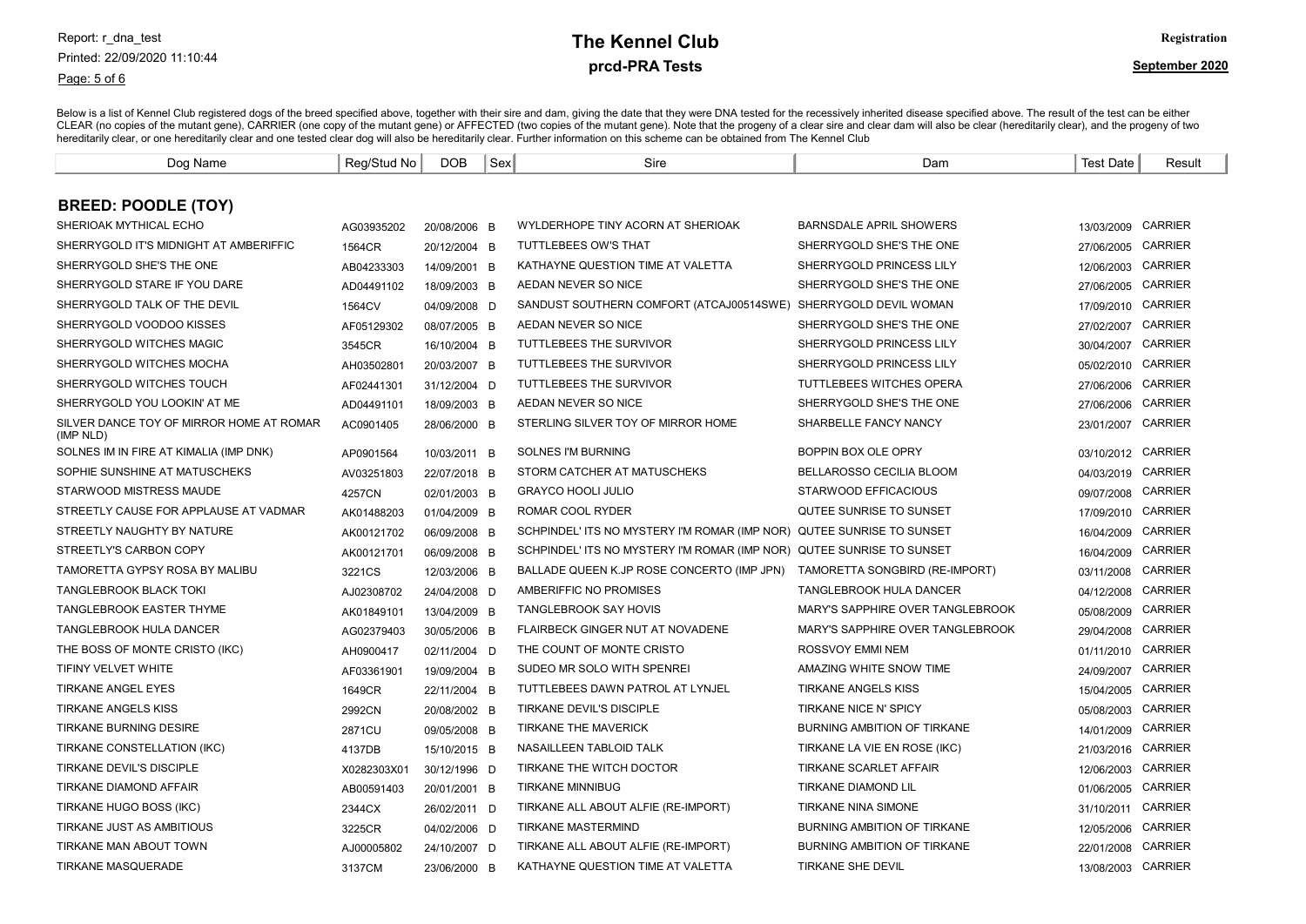Page: 5 of 6

# prcd-PRA Tests **The Kennel Club** Registration

| Dog Name                                              | Reg/Stud No | <b>DOB</b>   | Sex | Sire                                                                  | Dam                              | <b>Test Date</b>   | Result         |
|-------------------------------------------------------|-------------|--------------|-----|-----------------------------------------------------------------------|----------------------------------|--------------------|----------------|
|                                                       |             |              |     |                                                                       |                                  |                    |                |
| <b>BREED: POODLE (TOY)</b>                            |             |              |     |                                                                       |                                  |                    |                |
| SHERIOAK MYTHICAL ECHO                                | AG03935202  | 20/08/2006 B |     | WYLDERHOPE TINY ACORN AT SHERIOAK                                     | BARNSDALE APRIL SHOWERS          | 13/03/2009         | <b>CARRIER</b> |
| SHERRYGOLD IT'S MIDNIGHT AT AMBERIFFIC                | 1564CR      | 20/12/2004 B |     | TUTTLEBEES OW'S THAT                                                  | SHERRYGOLD SHE'S THE ONE         | 27/06/2005         | <b>CARRIER</b> |
| SHERRYGOLD SHE'S THE ONE                              | AB04233303  | 14/09/2001 B |     | KATHAYNE QUESTION TIME AT VALETTA                                     | SHERRYGOLD PRINCESS LILY         | 12/06/2003         | <b>CARRIER</b> |
| SHERRYGOLD STARE IF YOU DARE                          | AD04491102  | 18/09/2003 B |     | AEDAN NEVER SO NICE                                                   | SHERRYGOLD SHE'S THE ONE         | 27/06/2005 CARRIER |                |
| SHERRYGOLD TALK OF THE DEVIL                          | 1564CV      | 04/09/2008 D |     | SANDUST SOUTHERN COMFORT (ATCAJ00514SWE) SHERRYGOLD DEVIL WOMAN       |                                  | 17/09/2010 CARRIER |                |
| SHERRYGOLD VOODOO KISSES                              | AF05129302  | 08/07/2005 B |     | AEDAN NEVER SO NICE                                                   | SHERRYGOLD SHE'S THE ONE         | 27/02/2007         | <b>CARRIER</b> |
| SHERRYGOLD WITCHES MAGIC                              | 3545CR      | 16/10/2004 B |     | TUTTLEBEES THE SURVIVOR                                               | SHERRYGOLD PRINCESS LILY         | 30/04/2007         | <b>CARRIER</b> |
| SHERRYGOLD WITCHES MOCHA                              | AH03502801  | 20/03/2007 B |     | TUTTLEBEES THE SURVIVOR                                               | SHERRYGOLD PRINCESS LILY         | 05/02/2010         | <b>CARRIER</b> |
| SHERRYGOLD WITCHES TOUCH                              | AF02441301  | 31/12/2004 D |     | TUTTLEBEES THE SURVIVOR                                               | TUTTLEBEES WITCHES OPERA         | 27/06/2006         | <b>CARRIER</b> |
| SHERRYGOLD YOU LOOKIN' AT ME                          | AD04491101  | 18/09/2003 B |     | AEDAN NEVER SO NICE                                                   | SHERRYGOLD SHE'S THE ONE         | 27/06/2006         | <b>CARRIER</b> |
| SILVER DANCE TOY OF MIRROR HOME AT ROMAR<br>(IMP NLD) | AC0901405   | 28/06/2000 B |     | STERLING SILVER TOY OF MIRROR HOME                                    | SHARBELLE FANCY NANCY            | 23/01/2007         | <b>CARRIER</b> |
| SOLNES IM IN FIRE AT KIMALIA (IMP DNK)                | AP0901564   | 10/03/2011 B |     | <b>SOLNES I'M BURNING</b>                                             | BOPPIN BOX OLE OPRY              | 03/10/2012 CARRIER |                |
| SOPHIE SUNSHINE AT MATUSCHEKS                         | AV03251803  | 22/07/2018 B |     | STORM CATCHER AT MATUSCHEKS                                           | BELLAROSSO CECILIA BLOOM         | 04/03/2019         | <b>CARRIER</b> |
| STARWOOD MISTRESS MAUDE                               | 4257CN      | 02/01/2003 B |     | <b>GRAYCO HOOLI JULIO</b>                                             | STARWOOD EFFICACIOUS             | 09/07/2008         | <b>CARRIER</b> |
| STREETLY CAUSE FOR APPLAUSE AT VADMAR                 | AK01488203  | 01/04/2009 B |     | ROMAR COOL RYDER                                                      | QUTEE SUNRISE TO SUNSET          | 17/09/2010         | <b>CARRIER</b> |
| STREETLY NAUGHTY BY NATURE                            | AK00121702  | 06/09/2008 B |     | SCHPINDEL' ITS NO MYSTERY I'M ROMAR (IMP NOR) QUTEE SUNRISE TO SUNSET |                                  | 16/04/2009         | <b>CARRIER</b> |
| STREETLY'S CARBON COPY                                | AK00121701  | 06/09/2008 B |     | SCHPINDEL' ITS NO MYSTERY I'M ROMAR (IMP NOR) QUTEE SUNRISE TO SUNSET |                                  | 16/04/2009 CARRIER |                |
| TAMORETTA GYPSY ROSA BY MALIBU                        | 3221CS      | 12/03/2006 B |     | BALLADE QUEEN K.JP ROSE CONCERTO (IMP JPN)                            | TAMORETTA SONGBIRD (RE-IMPORT)   | 03/11/2008         | <b>CARRIER</b> |
| <b>TANGLEBROOK BLACK TOKI</b>                         | AJ02308702  | 24/04/2008 D |     | AMBERIFFIC NO PROMISES                                                | <b>TANGLEBROOK HULA DANCER</b>   | 04/12/2008         | <b>CARRIER</b> |
| <b>TANGLEBROOK EASTER THYME</b>                       | AK01849101  | 13/04/2009 B |     | <b>TANGLEBROOK SAY HOVIS</b>                                          | MARY'S SAPPHIRE OVER TANGLEBROOK | 05/08/2009         | <b>CARRIER</b> |
| TANGLEBROOK HULA DANCER                               | AG02379403  | 30/05/2006 B |     | FLAIRBECK GINGER NUT AT NOVADENE                                      | MARY'S SAPPHIRE OVER TANGLEBROOK | 29/04/2008 CARRIER |                |
| THE BOSS OF MONTE CRISTO (IKC)                        | AH0900417   | 02/11/2004 D |     | THE COUNT OF MONTE CRISTO                                             | ROSSVOY EMMI NEM                 | 01/11/2010         | <b>CARRIER</b> |
| TIFINY VELVET WHITE                                   | AF03361901  | 19/09/2004 B |     | SUDEO MR SOLO WITH SPENREI                                            | AMAZING WHITE SNOW TIME          | 24/09/2007         | <b>CARRIER</b> |
| <b>TIRKANE ANGEL EYES</b>                             | 1649CR      | 22/11/2004 B |     | TUTTLEBEES DAWN PATROL AT LYNJEL                                      | <b>TIRKANE ANGELS KISS</b>       | 15/04/2005         | CARRIER        |
| TIRKANE ANGELS KISS                                   | 2992CN      | 20/08/2002 B |     | TIRKANE DEVIL'S DISCIPLE                                              | TIRKANE NICE N' SPICY            | 05/08/2003 CARRIER |                |
| <b>TIRKANE BURNING DESIRE</b>                         | 2871CU      | 09/05/2008 B |     | TIRKANE THE MAVERICK                                                  | BURNING AMBITION OF TIRKANE      | 14/01/2009         | <b>CARRIER</b> |
| TIRKANE CONSTELLATION (IKC)                           | 4137DB      | 15/10/2015 B |     | NASAILLEEN TABLOID TALK                                               | TIRKANE LA VIE EN ROSE (IKC)     | 21/03/2016         | <b>CARRIER</b> |
| TIRKANE DEVIL'S DISCIPLE                              | X0282303X01 | 30/12/1996 D |     | TIRKANE THE WITCH DOCTOR                                              | TIRKANE SCARLET AFFAIR           | 12/06/2003 CARRIER |                |
| TIRKANE DIAMOND AFFAIR                                | AB00591403  | 20/01/2001 B |     | <b>TIRKANE MINNIBUG</b>                                               | <b>TIRKANE DIAMOND LIL</b>       | 01/06/2005 CARRIER |                |
| TIRKANE HUGO BOSS (IKC)                               | 2344CX      | 26/02/2011 D |     | TIRKANE ALL ABOUT ALFIE (RE-IMPORT)                                   | <b>TIRKANE NINA SIMONE</b>       | 31/10/2011 CARRIER |                |
| TIRKANE JUST AS AMBITIOUS                             | 3225CR      | 04/02/2006 D |     | <b>TIRKANE MASTERMIND</b>                                             | BURNING AMBITION OF TIRKANE      | 12/05/2006         | <b>CARRIER</b> |
| TIRKANE MAN ABOUT TOWN                                | AJ00005802  | 24/10/2007 D |     | TIRKANE ALL ABOUT ALFIE (RE-IMPORT)                                   | BURNING AMBITION OF TIRKANE      | 22/01/2008         | <b>CARRIER</b> |
| <b>TIRKANE MASQUERADE</b>                             | 3137CM      | 23/06/2000 B |     | KATHAYNE QUESTION TIME AT VALETTA                                     | <b>TIRKANE SHE DEVIL</b>         | 13/08/2003 CARRIER |                |